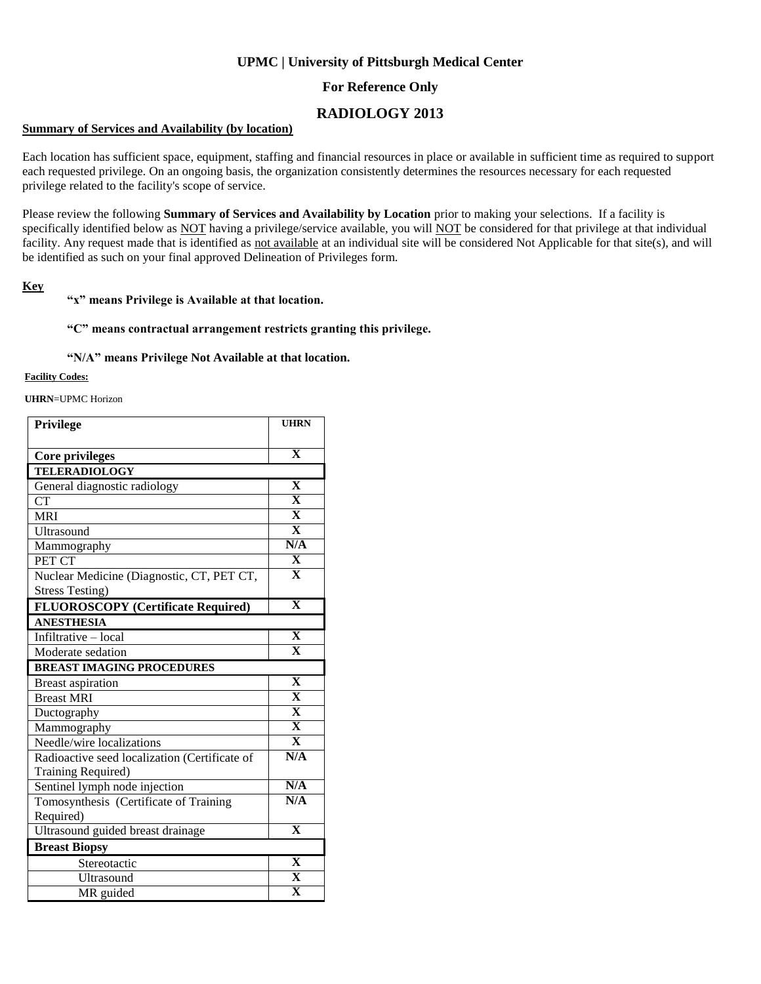## **UPMC | University of Pittsburgh Medical Center**

## **For Reference Only**

# **RADIOLOGY 2013**

### **Summary of Services and Availability (by location)**

Each location has sufficient space, equipment, staffing and financial resources in place or available in sufficient time as required to support each requested privilege. On an ongoing basis, the organization consistently determines the resources necessary for each requested privilege related to the facility's scope of service.

Please review the following **Summary of Services and Availability by Location** prior to making your selections. If a facility is specifically identified below as NOT having a privilege/service available, you will NOT be considered for that privilege at that individual facility. Any request made that is identified as not available at an individual site will be considered Not Applicable for that site(s), and will be identified as such on your final approved Delineation of Privileges form.

### **Key**

#### **"x" means Privilege is Available at that location.**

### **"C" means contractual arrangement restricts granting this privilege.**

### **"N/A" means Privilege Not Available at that location.**

#### **Facility Codes:**

**UHRN**=UPMC Horizon

| <b>Privilege</b>                              | <b>UHRN</b>             |
|-----------------------------------------------|-------------------------|
|                                               |                         |
| Core privileges                               | $\overline{\mathbf{X}}$ |
| <b>TELERADIOLOGY</b>                          |                         |
| General diagnostic radiology                  | $\overline{\mathbf{X}}$ |
| <b>CT</b>                                     | $\overline{\mathbf{X}}$ |
| <b>MRI</b>                                    | $\overline{\mathbf{X}}$ |
| <b>Ultrasound</b>                             | $\overline{\mathbf{X}}$ |
| Mammography                                   | N/A                     |
| PET CT                                        | $\overline{\mathbf{X}}$ |
| Nuclear Medicine (Diagnostic, CT, PET CT,     | $\overline{\mathbf{X}}$ |
| <b>Stress Testing)</b>                        |                         |
| FLUOROSCOPY (Certificate Required)            | $\overline{\mathbf{X}}$ |
| <b>ANESTHESIA</b>                             |                         |
| Infiltrative - local                          | $\overline{\mathbf{X}}$ |
| Moderate sedation                             | $\overline{\mathbf{X}}$ |
| <b>BREAST IMAGING PROCEDURES</b>              |                         |
| <b>Breast aspiration</b>                      | $\overline{\mathbf{X}}$ |
| <b>Breast MRI</b>                             | $\overline{\mathbf{X}}$ |
| Ductography                                   | $\overline{\mathbf{X}}$ |
| Mammography                                   | $\overline{\mathbf{X}}$ |
| Needle/wire localizations                     | $\overline{\mathbf{X}}$ |
| Radioactive seed localization (Certificate of | N/A                     |
| Training Required)                            |                         |
| Sentinel lymph node injection                 | N/A                     |
| Tomosynthesis (Certificate of Training        | N/A                     |
| Required)                                     |                         |
| Ultrasound guided breast drainage             | $\overline{\mathbf{X}}$ |
| <b>Breast Biopsy</b>                          |                         |
| Stereotactic                                  | X                       |
| Ultrasound                                    | $\overline{\mathbf{X}}$ |
| MR guided                                     | $\overline{\mathbf{x}}$ |